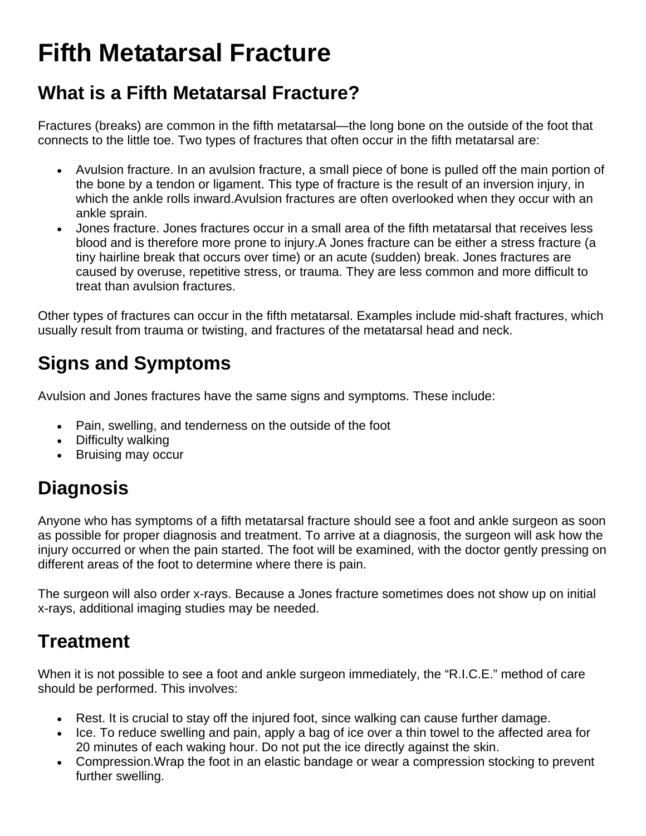# **Fifth Metatarsal Fracture**

### **What is a Fifth Metatarsal Fracture?**

Fractures (breaks) are common in the fifth metatarsal—the long bone on the outside of the foot that connects to the little toe. Two types of fractures that often occur in the fifth metatarsal are:

- Avulsion fracture. In an avulsion fracture, a small piece of bone is pulled off the main portion of the bone by a tendon or ligament. This type of fracture is the result of an inversion injury, in which the ankle rolls inward.Avulsion fractures are often overlooked when they occur with an ankle sprain.
- Jones fracture. Jones fractures occur in a small area of the fifth metatarsal that receives less blood and is therefore more prone to injury.A Jones fracture can be either a stress fracture (a tiny hairline break that occurs over time) or an acute (sudden) break. Jones fractures are caused by overuse, repetitive stress, or trauma. They are less common and more difficult to treat than avulsion fractures.

Other types of fractures can occur in the fifth metatarsal. Examples include mid-shaft fractures, which usually result from trauma or twisting, and fractures of the metatarsal head and neck.

# **Signs and Symptoms**

Avulsion and Jones fractures have the same signs and symptoms. These include:

- Pain, swelling, and tenderness on the outside of the foot
- Difficulty walking
- Bruising may occur

# **Diagnosis**

Anyone who has symptoms of a fifth metatarsal fracture should see a foot and ankle surgeon as soon as possible for proper diagnosis and treatment. To arrive at a diagnosis, the surgeon will ask how the injury occurred or when the pain started. The foot will be examined, with the doctor gently pressing on different areas of the foot to determine where there is pain.

The surgeon will also order x-rays. Because a Jones fracture sometimes does not show up on initial x-rays, additional imaging studies may be needed.

### **Treatment**

When it is not possible to see a foot and ankle surgeon immediately, the "R.I.C.E." method of care should be performed. This involves:

- Rest. It is crucial to stay off the injured foot, since walking can cause further damage.
- Ice. To reduce swelling and pain, apply a bag of ice over a thin towel to the affected area for 20 minutes of each waking hour. Do not put the ice directly against the skin.
- Compression.Wrap the foot in an elastic bandage or wear a compression stocking to prevent further swelling.